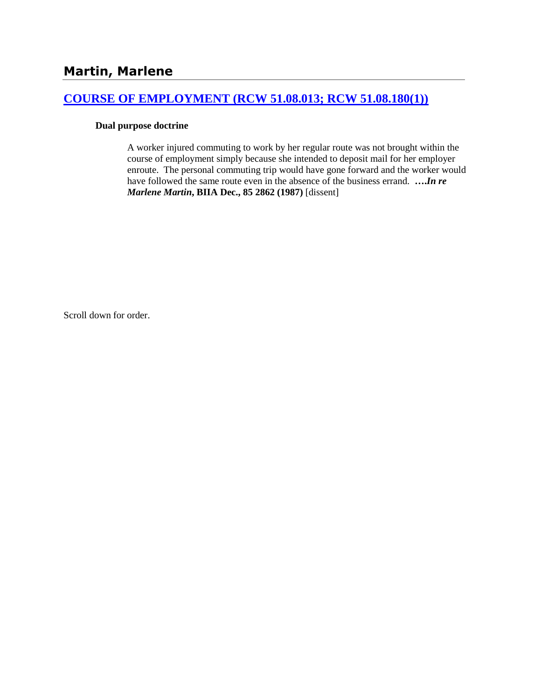# **[COURSE OF EMPLOYMENT \(RCW 51.08.013; RCW 51.08.180\(1\)\)](http://www.biia.wa.gov/SDSubjectIndex.html#COURSE_OF_EMPLOYMENT)**

# **Dual purpose doctrine**

A worker injured commuting to work by her regular route was not brought within the course of employment simply because she intended to deposit mail for her employer enroute. The personal commuting trip would have gone forward and the worker would have followed the same route even in the absence of the business errand. **….***In re Marlene Martin***, BIIA Dec., 85 2862 (1987)** [dissent]

Scroll down for order.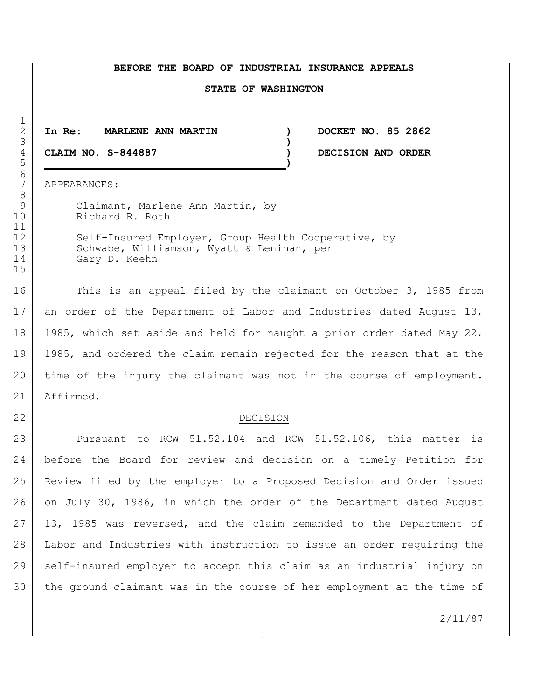#### **BEFORE THE BOARD OF INDUSTRIAL INSURANCE APPEALS**

#### **STATE OF WASHINGTON**

 **In Re: MARLENE ANN MARTIN ) DOCKET NO. 85 2862 ) CLAIM NO. S-844887 ) DECISION AND ORDER**

APPEARANCES:

9 Claimant, Marlene Ann Martin, by Richard R. Roth

12 Self-Insured Employer, Group Health Cooperative, by 13 Schwabe, Williamson, Wyatt & Lenihan, per Gary D. Keehn

16 This is an appeal filed by the claimant on October 3, 1985 from 17 an order of the Department of Labor and Industries dated August 13, 1985, which set aside and held for naught a prior order dated May 22, 1985, and ordered the claim remain rejected for the reason that at the time of the injury the claimant was not in the course of employment. Affirmed.

# 22 DECISION

23 Pursuant to RCW 51.52.104 and RCW 51.52.106, this matter is before the Board for review and decision on a timely Petition for Review filed by the employer to a Proposed Decision and Order issued 26 on July 30, 1986, in which the order of the Department dated August 13, 1985 was reversed, and the claim remanded to the Department of Labor and Industries with instruction to issue an order requiring the self-insured employer to accept this claim as an industrial injury on the ground claimant was in the course of her employment at the time of

2/11/87

 $\frac{1}{2}$  **)** 6<br>7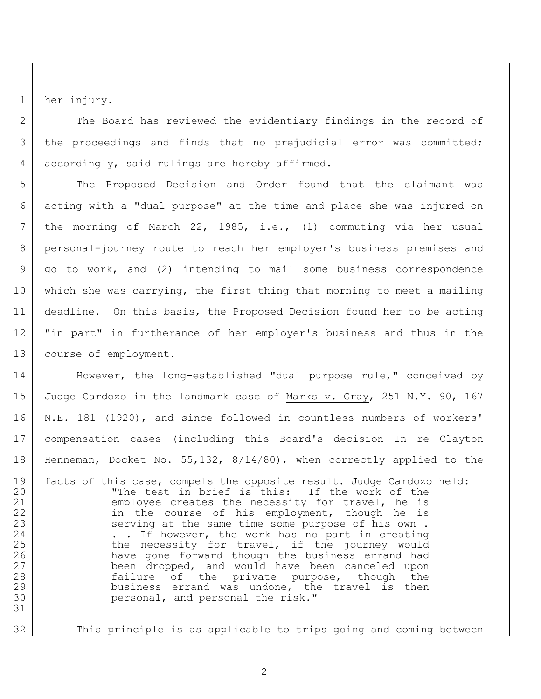1 her injury.

31

2 The Board has reviewed the evidentiary findings in the record of 3 | the proceedings and finds that no prejudicial error was committed; 4 accordingly, said rulings are hereby affirmed.

5 The Proposed Decision and Order found that the claimant was acting with a "dual purpose" at the time and place she was injured on the morning of March 22, 1985, i.e., (1) commuting via her usual personal-journey route to reach her employer's business premises and go to work, and (2) intending to mail some business correspondence which she was carrying, the first thing that morning to meet a mailing deadline. On this basis, the Proposed Decision found her to be acting "in part" in furtherance of her employer's business and thus in the course of employment.

14 However, the long-established "dual purpose rule," conceived by Judge Cardozo in the landmark case of Marks v. Gray, 251 N.Y. 90, 167 N.E. 181 (1920), and since followed in countless numbers of workers' compensation cases (including this Board's decision In re Clayton Henneman, Docket No. 55,132, 8/14/80), when correctly applied to the

19 facts of this case, compels the opposite result. Judge Cardozo held: 20 The test in brief is this: If the work of the 21 employee creates the necessity for travel, he is 22 in the course of his employment, though he is 23 serving at the same time some purpose of his own. 24 . . If however, the work has no part in creating 25 the necessity for travel, if the journey would 26 have gone forward though the business errand had 27 | been dropped, and would have been canceled upon 28 a.u. failure of the private purpose, though the 29 business errand was undone, the travel is then 30 personal, and personal the risk."

32 This principle is as applicable to trips going and coming between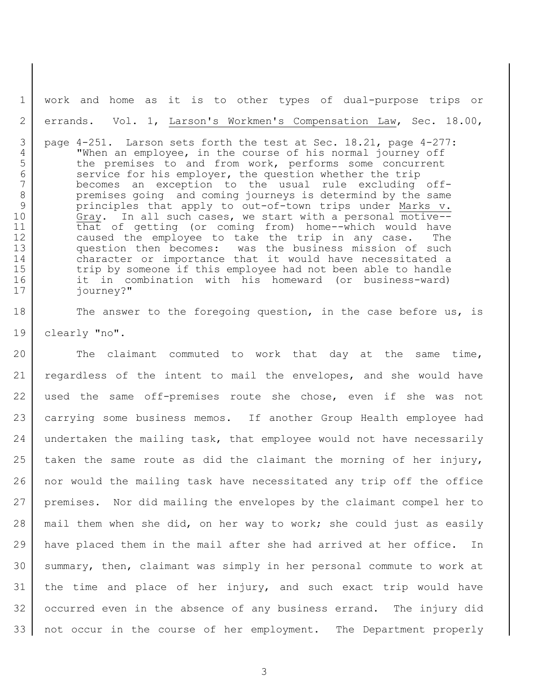work and home as it is to other types of dual-purpose trips or errands. Vol. 1, Larson's Workmen's Compensation Law, Sec. 18.00,

 page 4-251. Larson sets forth the test at Sec. 18.21, page 4-277: "When an employee, in the course of his normal journey off 5 the premises to and from work, performs some concurrent 6 service for his employer, the question whether the trip becomes an exception to the usual rule excluding off-8 premises going and coming journeys is determind by the same principles that apply to out-of-town trips under Marks v. Gray. In all such cases, we start with a personal motive-- that of getting (or coming from) home--which would have caused the employee to take the trip in any case. The question then becomes: was the business mission of such character or importance that it would have necessitated a 15 trip by someone if this employee had not been able to handle it in combination with his homeward (or business-ward) journey?"

18 The answer to the foregoing question, in the case before us, is clearly "no".

20 The claimant commuted to work that day at the same time, regardless of the intent to mail the envelopes, and she would have used the same off-premises route she chose, even if she was not carrying some business memos. If another Group Health employee had 24 undertaken the mailing task, that employee would not have necessarily 25 taken the same route as did the claimant the morning of her injury, nor would the mailing task have necessitated any trip off the office premises. Nor did mailing the envelopes by the claimant compel her to mail them when she did, on her way to work; she could just as easily have placed them in the mail after she had arrived at her office. In summary, then, claimant was simply in her personal commute to work at the time and place of her injury, and such exact trip would have occurred even in the absence of any business errand. The injury did not occur in the course of her employment. The Department properly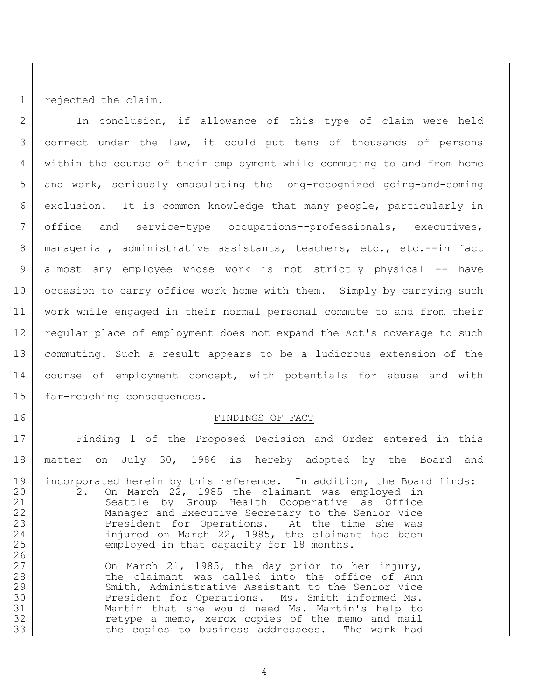1 rejected the claim.

2 | In conclusion, if allowance of this type of claim were held correct under the law, it could put tens of thousands of persons within the course of their employment while commuting to and from home 5 and work, seriously emasulating the long-recognized going-and-coming exclusion. It is common knowledge that many people, particularly in office and service-type occupations--professionals, executives, managerial, administrative assistants, teachers, etc., etc.--in fact almost any employee whose work is not strictly physical -- have 10 occasion to carry office work home with them. Simply by carrying such work while engaged in their normal personal commute to and from their regular place of employment does not expand the Act's coverage to such commuting. Such a result appears to be a ludicrous extension of the 14 course of employment concept, with potentials for abuse and with 15 far-reaching consequences.

### 16 FINDINGS OF FACT

17 | Finding 1 of the Proposed Decision and Order entered in this 18 matter on July 30, 1986 is hereby adopted by the Board and 19 incorporated herein by this reference. In addition, the Board finds: 20 | 2. On March 22, 1985 the claimant was employed in 21 Seattle by Group Health Cooperative as Office 22 | Manager and Executive Secretary to the Senior Vice 23 President for Operations. At the time she was 24 | injured on March 22, 1985, the claimant had been 25 employed in that capacity for 18 months. 26

27 On March 21, 1985, the day prior to her injury, 28 the claimant was called into the office of Ann 29 Smith, Administrative Assistant to the Senior Vice 30 President for Operations. Ms. Smith informed Ms. 31 Martin that she would need Ms. Martin's help to 32 | Tetype a memo, xerox copies of the memo and mail 33 the copies to business addressees. The work had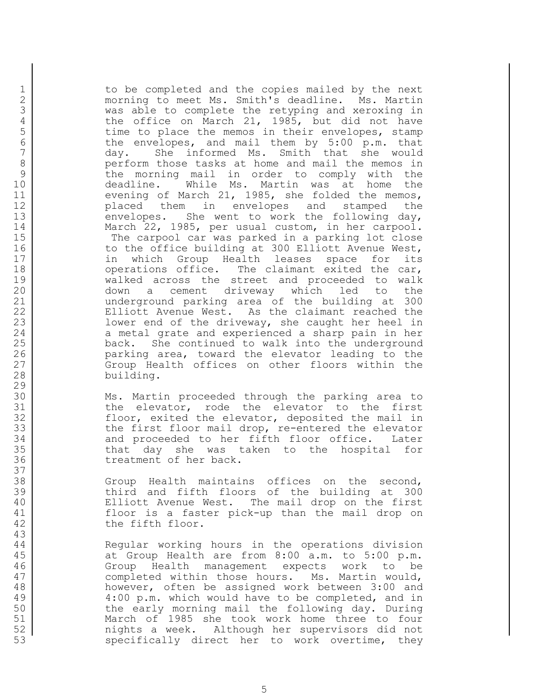1 | to be completed and the copies mailed by the next 2 | morning to meet Ms. Smith's deadline. Ms. Martin 3 was able to complete the retyping and xeroxing in 4 the office on March 21, 1985, but did not have 5 time to place the memos in their envelopes, stamp<br>6 the envelopes, and mail them by 5:00 p.m. that 6 the envelopes, and mail them by 5:00 p.m. that<br>7 day. She informed Ms. Smith that she would day. She informed Ms. Smith that she would 8 perform those tasks at home and mail the memos in 9 b the morning mail in order to comply with the 10 deadline. While Ms. Martin was at home the 11 evening of March 21, 1985, she folded the memos, 12 placed them in envelopes and stamped the 13 envelopes. She went to work the following day, 14 March 22, 1985, per usual custom, in her carpool. 15 The carpool car was parked in a parking lot close 16 to the office building at 300 Elliott Avenue West, 17 in which Group Health leases space for its 18 | operations office. The claimant exited the car, 19 walked across the street and proceeded to walk 20 down a cement driveway which led to the 21 | underground parking area of the building at 300 22 | Elliott Avenue West. As the claimant reached the 23 | Mower end of the driveway, she caught her heel in 24 a metal grate and experienced a sharp pain in her 25 | back. She continued to walk into the underground 26 **parking area, toward the elevator leading to the** 27 Group Health offices on other floors within the 28 building.

30 Ms. Martin proceeded through the parking area to 31 the elevator, rode the elevator to the first 32 floor, exited the elevator, deposited the mail in 33 the first floor mail drop, re-entered the elevator 34 and proceeded to her fifth floor office. Later 35 that day she was taken to the hospital for 36 treatment of her back.

 Group Health maintains offices on the second, third and fifth floors of the building at 300 Elliott Avenue West. The mail drop on the first floor is a faster pick-up than the mail drop on 42 the fifth floor.

 Regular working hours in the operations division at Group Health are from 8:00 a.m. to 5:00 p.m. Group Health management expects work to be 47 completed within those hours. Ms. Martin would, however, often be assigned work between 3:00 and 4:00 p.m. which would have to be completed, and in the early morning mail the following day. During March of 1985 she took work home three to four nights a week. Although her supervisors did not specifically direct her to work overtime, they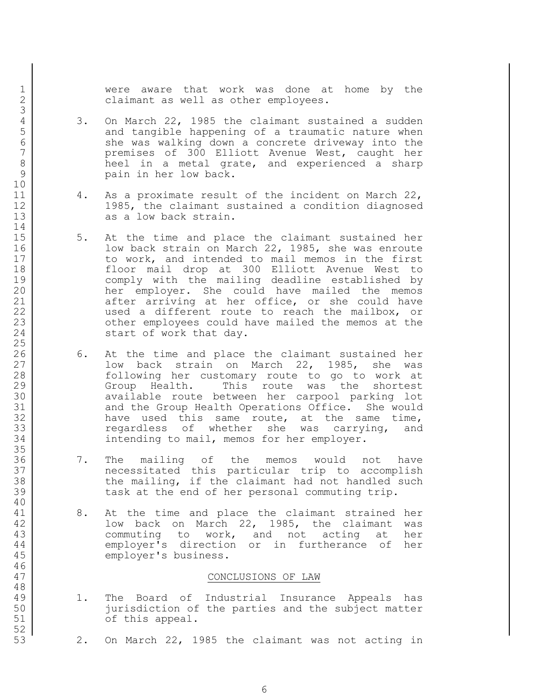1 | Were aware that work was done at home by the 2 | claimant as well as other employees.

- 4 3. On March 22, 1985 the claimant sustained a sudden<br>5 and tangible happening of a traumatic nature when 5 and tangible happening of a traumatic nature when<br>6 she was walking down a concrete driveway into the 6 She was walking down a concrete driveway into the<br>
7 The premises of 300 Elliott Avenue West, caught her premises of 300 Elliott Avenue West, caught her 8 heel in a metal grate, and experienced a sharp 9 **pain in her low back.**
- 11 4. As a proximate result of the incident on March 22, 12 1985, the claimant sustained a condition diagnosed 13 as a low back strain.
- 15 5. At the time and place the claimant sustained her 16 **low back strain on March 22, 1985, she was enroute** 17 to work, and intended to mail memos in the first 18 floor mail drop at 300 Elliott Avenue West to 19 comply with the mailing deadline established by 20 her employer. She could have mailed the memos 21 after arriving at her office, or she could have 22 | wsed a different route to reach the mailbox, or 23 cther employees could have mailed the memos at the 24 start of work that day.
- 26 6. At the time and place the claimant sustained her 27 and low back strain on March 22, 1985, she was 28 following her customary route to go to work at 29 Group Health. This route was the shortest 30 available route between her carpool parking lot 31 and the Group Health Operations Office. She would 32 have used this same route, at the same time, 33 The second regardless of whether she was carrying, and 34 intending to mail, memos for her employer.
- 36 7. The mailing of the memos would not have 37 necessitated this particular trip to accomplish 38 the mailing, if the claimant had not handled such 39 task at the end of her personal commuting trip.
- 41 8. At the time and place the claimant strained her 42 **low back on March 22, 1985, the claimant was** 43 commuting to work, and not acting at her 44 employer's direction or in furtherance of her 45 employer's business.

### 47 CONCLUSIONS OF LAW

- 49 1. The Board of Industrial Insurance Appeals has 50 jurisdiction of the parties and the subject matter 51 of this appeal.
- 53 2. On March 22, 1985 the claimant was not acting in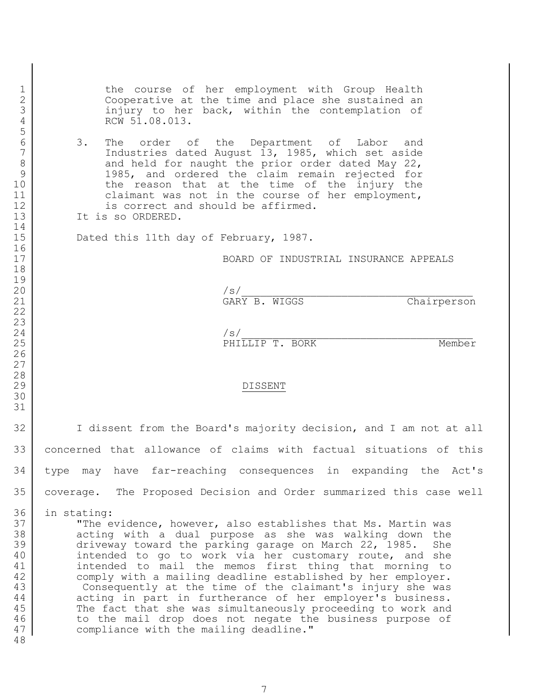the course of her employment with Group Health 2 Cooperative at the time and place she sustained an 3 injury to her back, within the contemplation of 4 RCW 51.08.013.

6 3. The order of the Department of Labor and<br>7 1985, which set aside Industries dated August , 1985, which set aside 8 and held for naught the prior order dated May 22, 9 1985, and ordered the claim remain rejected for 10 the reason that at the time of the injury the 11 claimant was not in the course of her employment, 12 is correct and should be affirmed.

13 It is so ORDERED.

15 Dated this 11th day of February, 1987.

BOARD OF INDUSTRIAL INSURANCE APPEALS

 /s/\_\_\_\_\_\_\_\_\_\_\_\_\_\_\_\_\_\_\_\_\_\_\_\_\_\_\_\_\_\_\_\_\_\_\_\_\_ 21 GARY B. WIGGS Chairperson

 $\vert$ 25 PHILLIP T. BORK Member

## DISSENT

 I dissent from the Board's majority decision, and I am not at all concerned that allowance of claims with factual situations of this type may have far-reaching consequences in expanding the Act's coverage. The Proposed Decision and Order summarized this case well

in stating:

 "The evidence, however, also establishes that Ms. Martin was 38 acting with a dual purpose as she was walking down the driveway toward the parking garage on March 22, 1985. She 40 intended to go to work via her customary route, and she intended to mail the memos first thing that morning to comply with a mailing deadline established by her employer. Consequently at the time of the claimant's injury she was 44 acting in part in furtherance of her employer's business. 45 The fact that she was simultaneously proceeding to work and 46 to the mail drop does not negate the business purpose of 47 compliance with the mailing deadline."